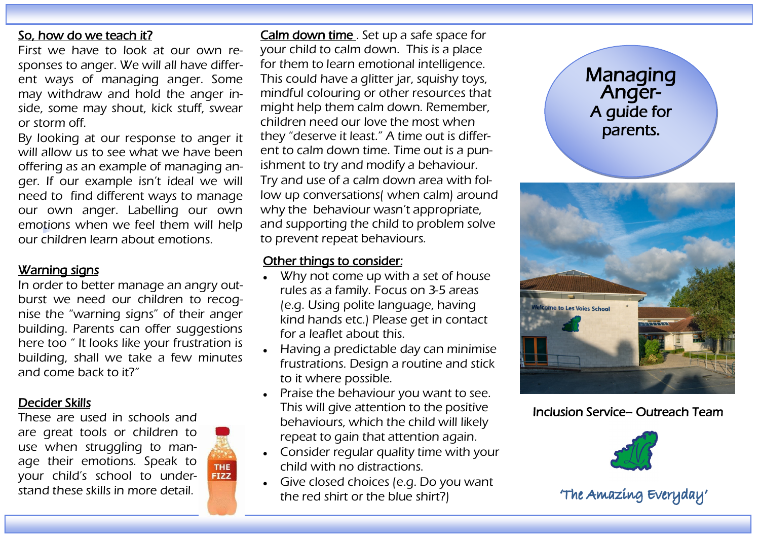#### So, how do we teach it?

First we have to look at our own responses to anger. We will all have different ways of managing anger. Some may withdraw and hold the anger inside, some may shout, kick stuff, swear or storm off.

By looking at our response to anger it will allow us to see what we have been offering as an example of managing anger. If our example isn't ideal we will need to find different ways to manage our own anger. Labelling our own emotions when we feel them will help our children learn about emotions.

# Warning signs

In order to better manage an angry outburst we need our children to recognise the "warning signs" of their anger building. Parents can offer suggestions here too " It looks like your frustration is building, shall we take a few minutes and come back to it?"

#### Decider Skills

These are used in schools and are great tools or children to use when struggling to manage their emotions. Speak to your child's school to understand these skills in more detail.



Calm down time. Set up a safe space for your child to calm down. This is a place for them to learn emotional intelligence. This could have a glitter jar, squishy toys, mindful colouring or other resources that might help them calm down. Remember, children need our love the most when they "deserve it least." A time out is different to calm down time. Time out is a punishment to try and modify a behaviour. Try and use of a calm down area with follow up conversations( when calm) around why the behaviour wasn't appropriate, and supporting the child to problem solve to prevent repeat behaviours.

### Other things to consider:

- Why not come up with a set of house rules as a family. Focus on 3-5 areas (e.g. Using polite language, having kind hands etc.) Please get in contact for a leaflet about this.
- Having a predictable day can minimise frustrations. Design a routine and stick to it where possible.
- Praise the behaviour you want to see. This will give attention to the positive behaviours, which the child will likely repeat to gain that attention again.
- Consider regular quality time with your child with no distractions.
- Give closed choices (e.g. Do you want the red shirt or the blue shirt?)



Inclusion Service– Outreach Team



'The Amazing Everyday'